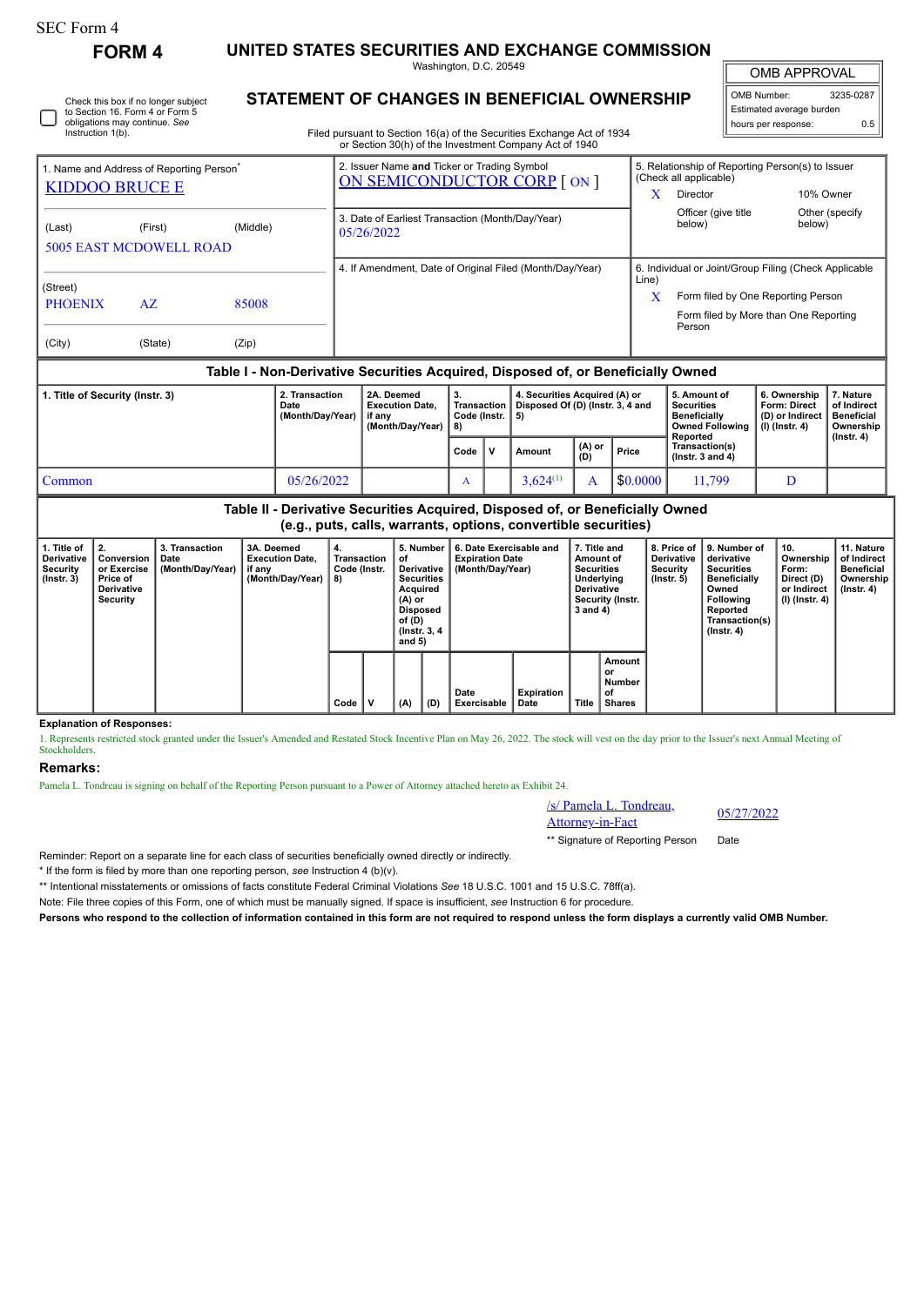## SEC Form 4

Instruction 1(b).

**FORM 4 UNITED STATES SECURITIES AND EXCHANGE COMMISSION**

Washington, D.C. 20549

OMB APPROVAL

 $\mathbb{I}$ 

| OMB Number:              | 3235-0287 |  |  |  |  |  |  |  |
|--------------------------|-----------|--|--|--|--|--|--|--|
| Estimated average burden |           |  |  |  |  |  |  |  |
| hours per response:      | 0.5       |  |  |  |  |  |  |  |

**STATEMENT OF CHANGES IN BENEFICIAL OWNERSHIP**

Filed pursuant to Section 16(a) of the Securities Exchange Act of 1934 or Section 30(h) of the Investment Company Act of 1940

| 1. Name and Address of Reporting Person <sup>®</sup>                             |                                |          |                             | 2. Issuer Name and Ticker or Trading Symbol<br>ON SEMICONDUCTOR CORP [ ON ] |            |                                                          | 5. Relationship of Reporting Person(s) to Issuer<br>(Check all applicable) |                                                 |                      |                |  |  |
|----------------------------------------------------------------------------------|--------------------------------|----------|-----------------------------|-----------------------------------------------------------------------------|------------|----------------------------------------------------------|----------------------------------------------------------------------------|-------------------------------------------------|----------------------|----------------|--|--|
| <b>KIDDOO BRUCE E</b>                                                            |                                |          |                             |                                                                             |            |                                                          | x                                                                          | Director                                        | 10% Owner            |                |  |  |
| (Last)                                                                           | (First)                        | (Middle) |                             | 3. Date of Earliest Transaction (Month/Day/Year)<br>05/26/2022              |            |                                                          |                                                                            | Officer (give title<br>below)                   | below)               | Other (specify |  |  |
|                                                                                  | <b>5005 EAST MCDOWELL ROAD</b> |          |                             |                                                                             |            |                                                          |                                                                            |                                                 |                      |                |  |  |
|                                                                                  |                                |          |                             |                                                                             |            | 4. If Amendment, Date of Original Filed (Month/Day/Year) | 6. Individual or Joint/Group Filing (Check Applicable<br>Line)             |                                                 |                      |                |  |  |
| (Street)<br><b>PHOENIX</b>                                                       | AZ                             | 85008    |                             |                                                                             |            |                                                          | X                                                                          | Form filed by One Reporting Person              |                      |                |  |  |
|                                                                                  |                                |          |                             |                                                                             |            |                                                          |                                                                            | Form filed by More than One Reporting<br>Person |                      |                |  |  |
| (City)                                                                           | (State)                        | (Zip)    |                             |                                                                             |            |                                                          |                                                                            |                                                 |                      |                |  |  |
| Table I - Non-Derivative Securities Acquired, Disposed of, or Beneficially Owned |                                |          |                             |                                                                             |            |                                                          |                                                                            |                                                 |                      |                |  |  |
| $- \cdots$ $-$                                                                   |                                |          | $\sim$ $\sim$ $\sim$ $\sim$ | .                                                                           | <b>Let</b> |                                                          |                                                                            | $    -$                                         | $\sim$ $\sim$ $\sim$ | .              |  |  |

| Title of Security (Instr. 3) | 2. Transaction<br>Date<br>(Month/Dav/Year) | 2A. Deemed<br><b>Execution Date.</b><br>if anv<br>(Month/Dav/Year) | 3.<br>Code (Instr.   5)<br>-8) |  | 4. Securities Acquired (A) or<br>Transaction   Disposed Of (D) (Instr. 3, 4 and |                              |          | 5. Amount of<br>Securities<br><b>Beneficially</b><br><b>Owned Following</b><br>Reported | 6. Ownership  <br>Form: Direct<br>(D) or Indirect<br>(I) (Instr. 4) | 7. Nature<br>of Indirect<br><b>Beneficial</b><br>Ownership<br>$($ lnstr. 4 $)$ |
|------------------------------|--------------------------------------------|--------------------------------------------------------------------|--------------------------------|--|---------------------------------------------------------------------------------|------------------------------|----------|-----------------------------------------------------------------------------------------|---------------------------------------------------------------------|--------------------------------------------------------------------------------|
|                              |                                            |                                                                    | Code                           |  | Amount                                                                          | $_{\parallel}$ (A) or<br>(D) | Price    | Transaction(s)<br>( $lnstr.$ 3 and 4)                                                   |                                                                     |                                                                                |
| Common                       | 05/26/2022                                 |                                                                    |                                |  | $3.624^{(1)}$                                                                   |                              | \$0.0000 | 11.799                                                                                  |                                                                     |                                                                                |

**Table II - Derivative Securities Acquired, Disposed of, or Beneficially Owned (e.g., puts, calls, warrants, options, convertible securities)**

| 1. Title of<br>Derivative<br>Security<br>$($ lnstr. 3 $)$ | $\perp$ 2.<br>Conversion<br>or Exercise<br><b>Price of</b><br>Derivative<br>Security | 3. Transaction<br>Date<br>(Month/Day/Year) | 3A. Deemed<br><b>Execution Date.</b><br>if any<br>(Month/Dav/Year) | 4.<br>Transaction<br>Code (Instr.<br>8) |   | 5. Number<br>οf<br>Derivative I<br><b>Securities</b><br>Acquired<br>$(A)$ or<br><b>Disposed</b><br>of (D)<br>(Instr. 3, 4)<br>and $5)$ |  | 6. Date Exercisable and<br><b>Expiration Date</b><br>(Month/Day/Year) |                    | 7. Title and<br>Amount of<br><b>Securities</b><br><b>Underlying</b><br><b>Derivative</b><br>Security (Instr.<br>3 and 4) |  | <b>Derivative</b><br>Security<br>$($ lnstr. 5 $)$ | 8. Price of 19. Number of<br>derivative<br><b>Securities</b><br><b>Beneficially</b><br>Owned<br><b>Following</b><br>Reported<br>Transaction(s)<br>$($ lnstr. 4 $)$ | 10.<br>Ownership<br>Form:<br>Direct (D)<br>or Indirect<br>(I) (Instr. 4) | 11. Nature<br>of Indirect<br><b>Beneficial</b><br>Ownership<br>$($ lnstr. 4 $)$ |
|-----------------------------------------------------------|--------------------------------------------------------------------------------------|--------------------------------------------|--------------------------------------------------------------------|-----------------------------------------|---|----------------------------------------------------------------------------------------------------------------------------------------|--|-----------------------------------------------------------------------|--------------------|--------------------------------------------------------------------------------------------------------------------------|--|---------------------------------------------------|--------------------------------------------------------------------------------------------------------------------------------------------------------------------|--------------------------------------------------------------------------|---------------------------------------------------------------------------------|
|                                                           |                                                                                      |                                            |                                                                    | Code                                    | v | (D)<br>(A)                                                                                                                             |  | Date<br>Exercisable                                                   | Expiration<br>Date | Amount<br>. or<br>Number<br>οf<br><b>Title</b><br><b>Shares</b>                                                          |  |                                                   |                                                                                                                                                                    |                                                                          |                                                                                 |

**Explanation of Responses:**

1. Represents restricted stock granted under the Issuer's Amended and Restated Stock Incentive Plan on May 26, 2022. The stock will vest on the day prior to the Issuer's next Annual Meeting of **Stockholders** 

## **Remarks:**

Pamela L. Tondreau is signing on behalf of the Reporting Person pursuant to a Power of Attorney attached hereto as Exhibit 24.

/s/ Pamela L. Tondreau,  $\frac{\text{S}}{\text{S}}$  Pamela L. Tondreau,  $\frac{05}{27/2022}$ 

\*\* Signature of Reporting Person Date

Reminder: Report on a separate line for each class of securities beneficially owned directly or indirectly.

\* If the form is filed by more than one reporting person, *see* Instruction 4 (b)(v).

\*\* Intentional misstatements or omissions of facts constitute Federal Criminal Violations *See* 18 U.S.C. 1001 and 15 U.S.C. 78ff(a).

Note: File three copies of this Form, one of which must be manually signed. If space is insufficient, *see* Instruction 6 for procedure.

**Persons who respond to the collection of information contained in this form are not required to respond unless the form displays a currently valid OMB Number.**

Check this box if no longer subject to Section 16. Form 4 or Form 5 obligations may continue. *See*